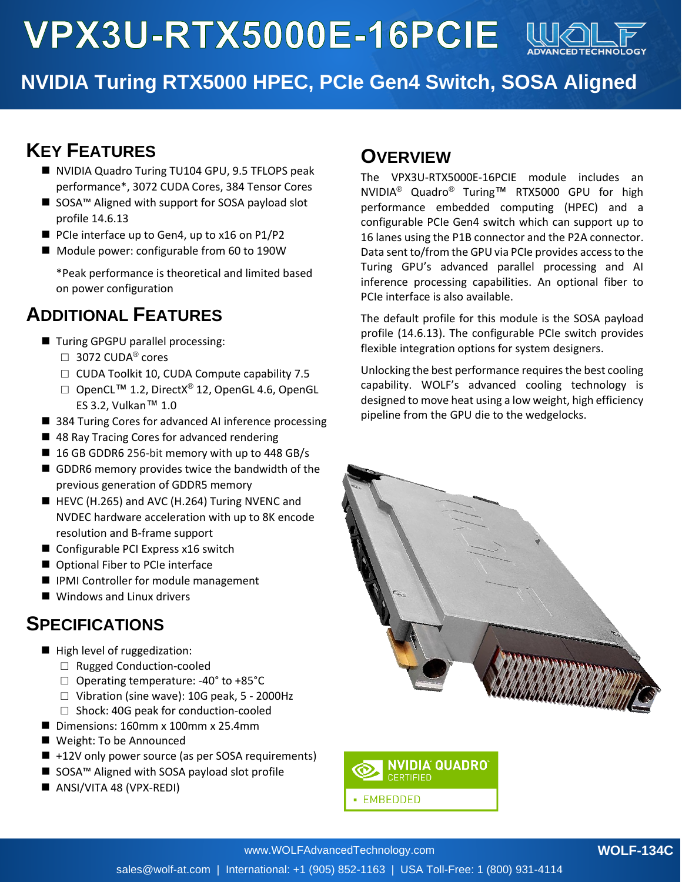

# **NVIDIA Turing RTX5000 HPEC, PCIe Gen4 Switch, SOSA Aligned**

### **KEY FEATURES**

- NVIDIA Quadro Turing TU104 GPU, 9.5 TFLOPS peak performance\*, 3072 CUDA Cores, 384 Tensor Cores
- SOSA<sup>™</sup> Aligned with support for SOSA payload slot profile 14.6.13
- PCIe interface up to Gen4, up to x16 on P1/P2
- Module power: configurable from 60 to 190W

\*Peak performance is theoretical and limited based on power configuration

### **ADDITIONAL FEATURES**

- Turing GPGPU parallel processing:
	- $\Box$  3072 CUDA® cores
	- □ CUDA Toolkit 10, CUDA Compute capability 7.5
	- □ OpenCL<sup>TM</sup> 1.2, DirectX<sup>®</sup> 12, OpenGL 4.6, OpenGL ES 3.2, Vulkan™ 1.0
- 384 Turing Cores for advanced AI inference processing
- 48 Ray Tracing Cores for advanced rendering
- 16 GB GDDR6 256-bit memory with up to 448 GB/s
- $\blacksquare$  GDDR6 memory provides twice the bandwidth of the previous generation of GDDR5 memory
- HEVC (H.265) and AVC (H.264) Turing NVENC and NVDEC hardware acceleration with up to 8K encode resolution and B-frame support
- Configurable PCI Express x16 switch
- Optional Fiber to PCIe interface
- IPMI Controller for module management
- Windows and Linux drivers

#### **SPECIFICATIONS**

- High level of ruggedization:
	- □ Rugged Conduction-cooled
	- □ Operating temperature: -40° to +85°C
	- $\Box$  Vibration (sine wave): 10G peak, 5 2000Hz
	- □ Shock: 40G peak for conduction-cooled
- Dimensions: 160mm x 100mm x 25.4mm
- Weight: To be Announced
- +12V only power source (as per SOSA requirements)
- SOSA<sup>™</sup> Aligned with SOSA payload slot profile
- ANSI/VITA 48 (VPX-REDI)

#### **OVERVIEW**

The VPX3U-RTX5000E-16PCIE module includes an NVIDIA® Quadro® Turing™ RTX5000 GPU for high performance embedded computing (HPEC) and a configurable PCIe Gen4 switch which can support up to 16 lanes using the P1B connector and the P2A connector. Data sent to/from the GPU via PCIe provides access to the Turing GPU's advanced parallel processing and AI inference processing capabilities. An optional fiber to PCIe interface is also available.

The default profile for this module is the SOSA payload profile (14.6.13). The configurable PCIe switch provides flexible integration options for system designers.

Unlocking the best performance requires the best cooling capability. WOLF's advanced cooling technology is designed to move heat using a low weight, high efficiency pipeline from the GPU die to the wedgelocks.





#### **WOLF-134C**

sales@wolf-at.com | International: +1 (905) 852-1163 | USA Toll-Free: 1 (800) 931-4114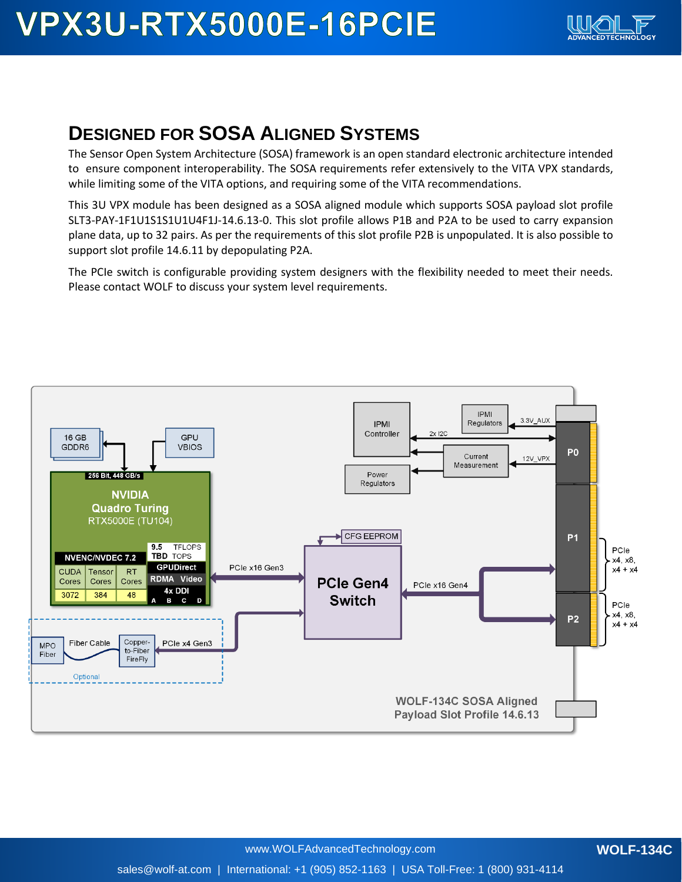

### **DESIGNED FOR SOSA ALIGNED SYSTEMS**

The Sensor Open System Architecture (SOSA) framework is an open standard electronic architecture intended to ensure component interoperability. The SOSA requirements refer extensively to the VITA VPX standards, while limiting some of the VITA options, and requiring some of the VITA recommendations.

This 3U VPX module has been designed as a SOSA aligned module which supports SOSA payload slot profile SLT3-PAY-1F1U1S1S1U1U4F1J-14.6.13-0. This slot profile allows P1B and P2A to be used to carry expansion plane data, up to 32 pairs. As per the requirements of this slot profile P2B is unpopulated. It is also possible to support slot profile 14.6.11 by depopulating P2A.

The PCIe switch is configurable providing system designers with the flexibility needed to meet their needs. Please contact WOLF to discuss your system level requirements.

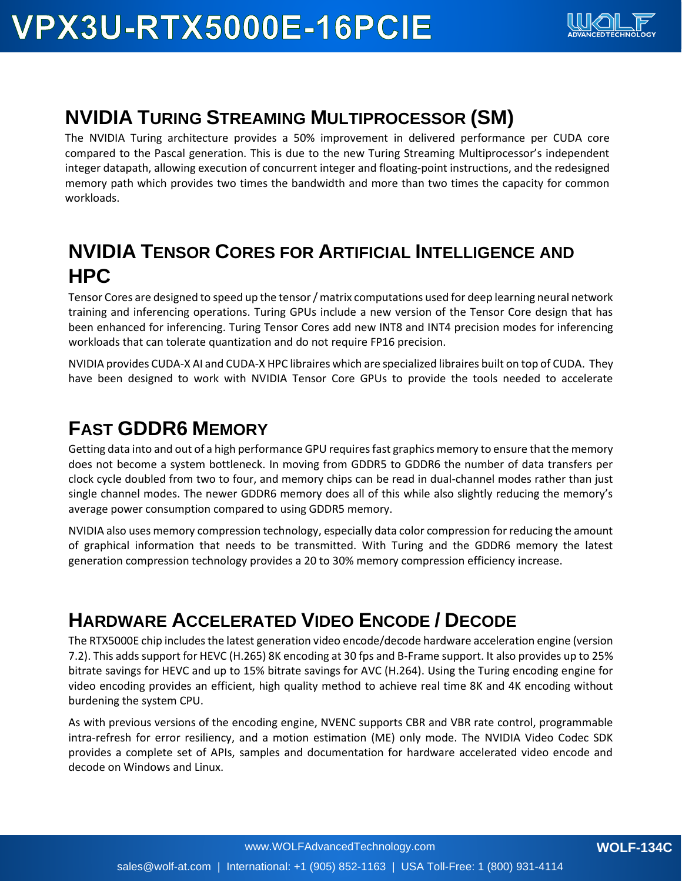

### **NVIDIA TURING STREAMING MULTIPROCESSOR (SM)**

The NVIDIA Turing architecture provides a 50% improvement in delivered performance per CUDA core compared to the Pascal generation. This is due to the new Turing Streaming Multiprocessor's independent integer datapath, allowing execution of concurrent integer and floating-point instructions, and the redesigned memory path which provides two times the bandwidth and more than two times the capacity for common workloads.

## **NVIDIA TENSOR CORES FOR ARTIFICIAL INTELLIGENCE AND HPC**

Tensor Cores are designed to speed up the tensor / matrix computations used for deep learning neural network training and inferencing operations. Turing GPUs include a new version of the Tensor Core design that has been enhanced for inferencing. Turing Tensor Cores add new INT8 and INT4 precision modes for inferencing workloads that can tolerate quantization and do not require FP16 precision.

NVIDIA provides CUDA-X AI and CUDA-X HPC libraires which are specialized libraires built on top of CUDA. They have been designed to work with NVIDIA Tensor Core GPUs to provide the tools needed to accelerate

### **FAST GDDR6 MEMORY**

Getting data into and out of a high performance GPU requires fast graphics memory to ensure that the memory does not become a system bottleneck. In moving from GDDR5 to GDDR6 the number of data transfers per clock cycle doubled from two to four, and memory chips can be read in dual-channel modes rather than just single channel modes. The newer GDDR6 memory does all of this while also slightly reducing the memory's average power consumption compared to using GDDR5 memory.

NVIDIA also uses memory compression technology, especially data color compression for reducing the amount of graphical information that needs to be transmitted. With Turing and the GDDR6 memory the latest generation compression technology provides a 20 to 30% memory compression efficiency increase.

## **HARDWARE ACCELERATED VIDEO ENCODE / DECODE**

The RTX5000E chip includes the latest generation video encode/decode hardware acceleration engine (version 7.2). This adds support for HEVC (H.265) 8K encoding at 30 fps and B-Frame support. It also provides up to 25% bitrate savings for HEVC and up to 15% bitrate savings for AVC (H.264). Using the Turing encoding engine for video encoding provides an efficient, high quality method to achieve real time 8K and 4K encoding without burdening the system CPU.

As with previous versions of the encoding engine, NVENC supports CBR and VBR rate control, programmable intra-refresh for error resiliency, and a motion estimation (ME) only mode. The NVIDIA Video Codec SDK provides a complete set of APIs, samples and documentation for hardware accelerated video encode and decode on Windows and Linux.